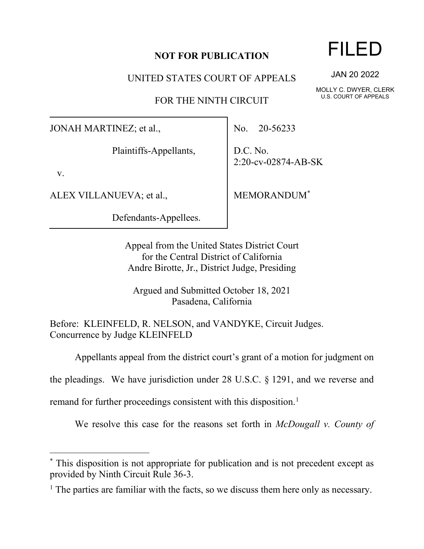## **NOT FOR PUBLICATION**

UNITED STATES COURT OF APPEALS

FOR THE NINTH CIRCUIT

JONAH MARTINEZ; et al.,

Plaintiffs-Appellants,

v.

ALEX VILLANUEVA; et al.,

Defendants-Appellees.

No. 20-56233

D.C. No. 2:20-cv-02874-AB-SK

MEMORANDUM[\\*](#page-0-0)

Appeal from the United States District Court for the Central District of California Andre Birotte, Jr., District Judge, Presiding

Argued and Submitted October 18, 2021 Pasadena, California

Before: KLEINFELD, R. NELSON, and VANDYKE, Circuit Judges. Concurrence by Judge KLEINFELD

Appellants appeal from the district court's grant of a motion for judgment on

the pleadings. We have jurisdiction under 28 U.S.C. § 1291, and we reverse and

remand for further proceedings consistent with this disposition.<sup>[1](#page-0-1)</sup>

We resolve this case for the reasons set forth in *McDougall v. County of* 

## FILED

JAN 20 2022

MOLLY C. DWYER, CLERK U.S. COURT OF APPEALS

<span id="page-0-0"></span><sup>\*</sup> This disposition is not appropriate for publication and is not precedent except as provided by Ninth Circuit Rule 36-3.

<span id="page-0-1"></span><sup>&</sup>lt;sup>1</sup> The parties are familiar with the facts, so we discuss them here only as necessary.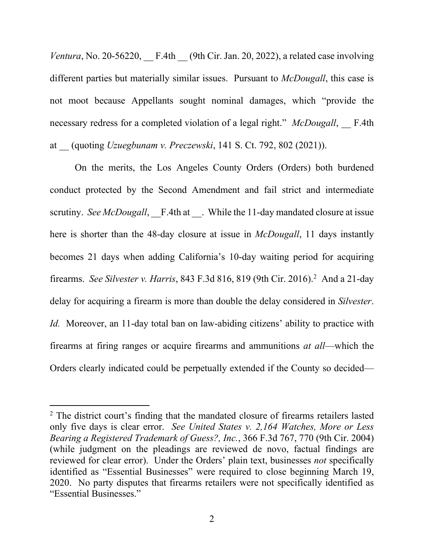*Ventura*, No. 20-56220,  $F.4th$  (9th Cir. Jan. 20, 2022), a related case involving different parties but materially similar issues. Pursuant to *McDougall*, this case is not moot because Appellants sought nominal damages, which "provide the necessary redress for a completed violation of a legal right." *McDougall*, F.4th at \_\_ (quoting *Uzuegbunam v. Preczewski*, 141 S. Ct. 792, 802 (2021)).

On the merits, the Los Angeles County Orders (Orders) both burdened conduct protected by the Second Amendment and fail strict and intermediate scrutiny. *See McDougall*, F.4th at . While the 11-day mandated closure at issue here is shorter than the 48-day closure at issue in *McDougall*, 11 days instantly becomes 21 days when adding California's 10-day waiting period for acquiring firearms. *See Silvester v. Harris*, 843 F.3d 816, 819 (9th Cir. 2016). [2](#page-1-0) And a 21-day delay for acquiring a firearm is more than double the delay considered in *Silvester*. *Id.* Moreover, an 11-day total ban on law-abiding citizens' ability to practice with firearms at firing ranges or acquire firearms and ammunitions *at all*—which the Orders clearly indicated could be perpetually extended if the County so decided—

<span id="page-1-0"></span><sup>&</sup>lt;sup>2</sup> The district court's finding that the mandated closure of firearms retailers lasted only five days is clear error. *See United States v. 2,164 Watches, More or Less Bearing a Registered Trademark of Guess?, Inc.*, 366 F.3d 767, 770 (9th Cir. 2004) (while judgment on the pleadings are reviewed de novo, factual findings are reviewed for clear error). Under the Orders' plain text, businesses *not* specifically identified as "Essential Businesses" were required to close beginning March 19, 2020. No party disputes that firearms retailers were not specifically identified as "Essential Businesses."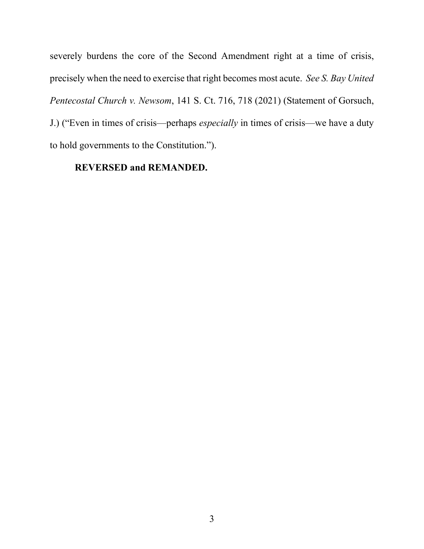severely burdens the core of the Second Amendment right at a time of crisis, precisely when the need to exercise that right becomes most acute. *See S. Bay United Pentecostal Church v. Newsom*, 141 S. Ct. 716, 718 (2021) (Statement of Gorsuch, J.) ("Even in times of crisis—perhaps *especially* in times of crisis—we have a duty to hold governments to the Constitution.").

## **REVERSED and REMANDED.**